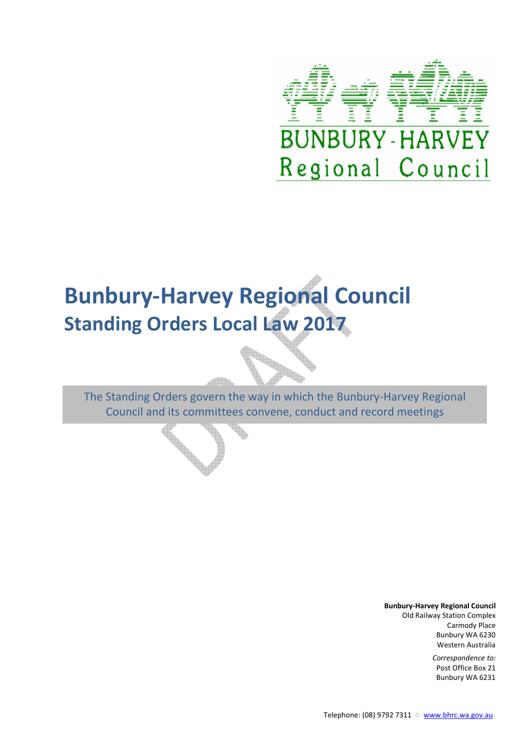

# **Bunbury-Harvey Regional Council Standing Orders Local Law 2017**

The Standing Orders govern the way in which the Bunbury-Harvey Regional Council and its committees convene, conduct and record meetings

**Bunbury-Harvey Regional Council**

Old Railway Station Complex Carmody Place Bunbury WA 6230 Western Australia

> *Correspondence to:* Post Office Box 21 Bunbury WA 6231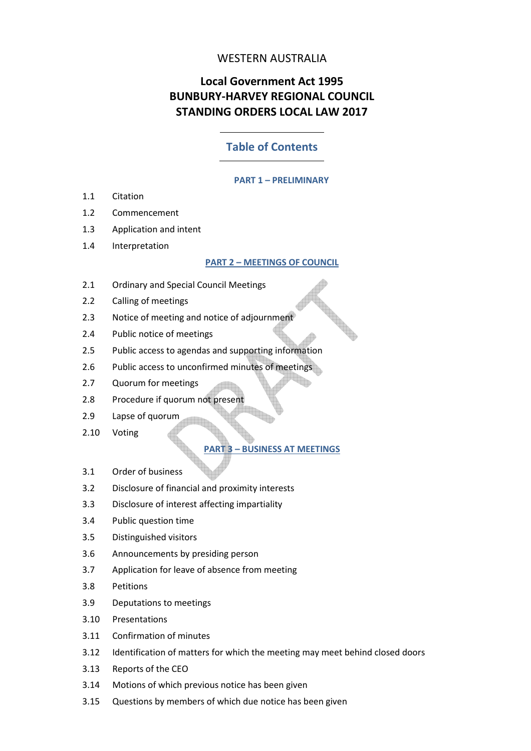# WESTERN AUSTRALIA

# **Local Government Act 1995 BUNBURY-HARVEY REGIONAL COUNCIL STANDING ORDERS LOCAL LAW 2017**

# **Table of Contents**

#### **PART 1 – PRELIMINARY**

- 1.1 Citation
- 1.2 Commencement
- 1.3 Application and intent
- 1.4 Interpretation

#### **PART 2 – MEETINGS OF COUNCIL**

- 2.1 Ordinary and Special Council Meetings
- 2.2 Calling of meetings
- 2.3 Notice of meeting and notice of adjournment
- 2.4 Public notice of meetings
- 2.5 Public access to agendas and supporting information
- 2.6 Public access to unconfirmed minutes of meetings
- 2.7 Quorum for meetings
- 2.8 Procedure if quorum not present
- 2.9 Lapse of quorum
- 2.10 Voting

# **PART 3 – BUSINESS AT MEETINGS**

- 3.1 Order of business
- 3.2 Disclosure of financial and proximity interests
- 3.3 Disclosure of interest affecting impartiality
- 3.4 Public question time
- 3.5 Distinguished visitors
- 3.6 Announcements by presiding person
- 3.7 Application for leave of absence from meeting
- 3.8 Petitions
- 3.9 Deputations to meetings
- 3.10 Presentations
- 3.11 Confirmation of minutes
- 3.12 Identification of matters for which the meeting may meet behind closed doors
- 3.13 Reports of the CEO
- 3.14 Motions of which previous notice has been given
- 3.15 Questions by members of which due notice has been given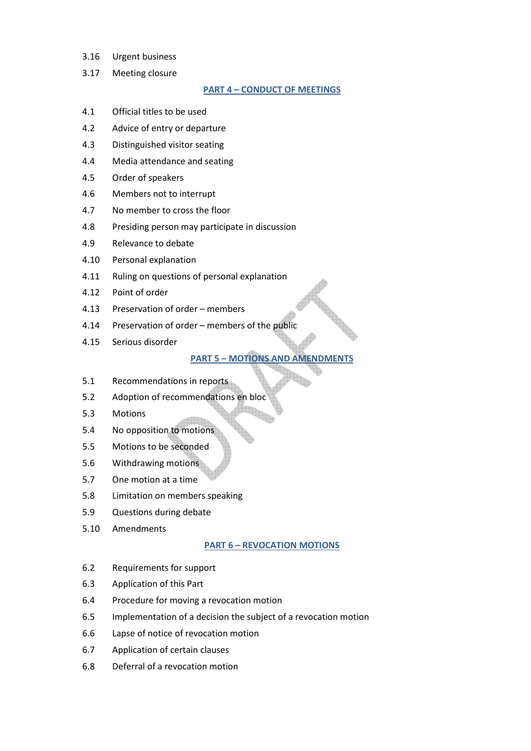- 3.16 Urgent business
- 3.17 Meeting closure

#### **PART 4 – CONDUCT OF MEETINGS**

- 4.1 Official titles to be used
- 4.2 Advice of entry or departure
- 4.3 Distinguished visitor seating
- 4.4 Media attendance and seating
- 4.5 Order of speakers
- 4.6 Members not to interrupt
- 4.7 No member to cross the floor
- 4.8 Presiding person may participate in discussion
- 4.9 Relevance to debate
- 4.10 Personal explanation
- 4.11 Ruling on questions of personal explanation
- 4.12 Point of order
- 4.13 Preservation of order members
- 4.14 Preservation of order members of the public
- 4.15 Serious disorder

### **PART 5 – MOTIONS AND AMENDMENTS**

- 5.1 Recommendations in reports
- 5.2 Adoption of recommendations en bloc
- 5.3 Motions
- 5.4 No opposition to motions
- 5.5 Motions to be seconded
- 5.6 Withdrawing motions
- 5.7 One motion at a time
- 5.8 Limitation on members speaking
- 5.9 Questions during debate
- 5.10 Amendments

#### **PART 6 – REVOCATION MOTIONS**

- 6.2 Requirements for support
- 6.3 Application of this Part
- 6.4 Procedure for moving a revocation motion
- 6.5 Implementation of a decision the subject of a revocation motion
- 6.6 Lapse of notice of revocation motion
- 6.7 Application of certain clauses
- 6.8 Deferral of a revocation motion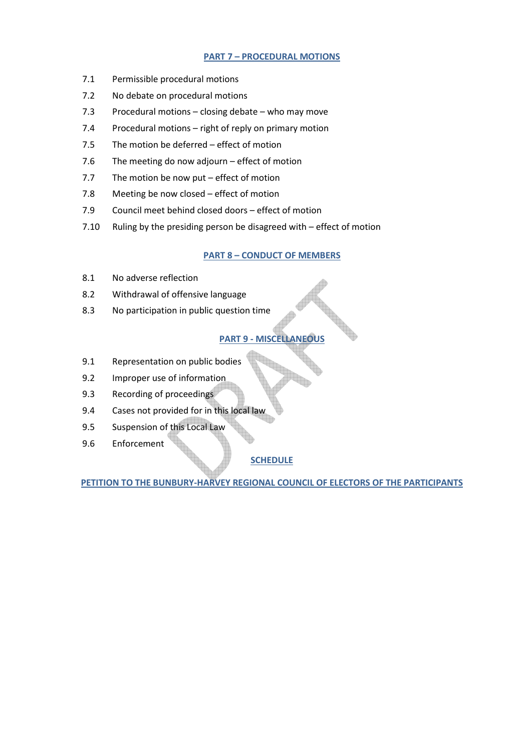# **PART 7 – PROCEDURAL MOTIONS**

- 7.1 Permissible procedural motions
- 7.2 No debate on procedural motions
- 7.3 Procedural motions closing debate who may move
- 7.4 Procedural motions right of reply on primary motion
- 7.5 The motion be deferred effect of motion
- 7.6 The meeting do now adjourn effect of motion
- 7.7 The motion be now put effect of motion
- 7.8 Meeting be now closed effect of motion
- 7.9 Council meet behind closed doors effect of motion
- 7.10 Ruling by the presiding person be disagreed with effect of motion

# **PART 8 – CONDUCT OF MEMBERS**

- 8.1 No adverse reflection
- 8.2 Withdrawal of offensive language
- 8.3 No participation in public question time

# **PART 9 - MISCELLANEOUS**

- 9.1 Representation on public bodies
- 9.2 Improper use of information
- 9.3 Recording of proceedings
- 9.4 Cases not provided for in this local law
- 9.5 Suspension of this Local Law
- 9.6 Enforcement

# **SCHEDULE**

**PETITION TO THE BUNBURY-HARVEY REGIONAL COUNCIL OF ELECTORS OF THE PARTICIPANTS**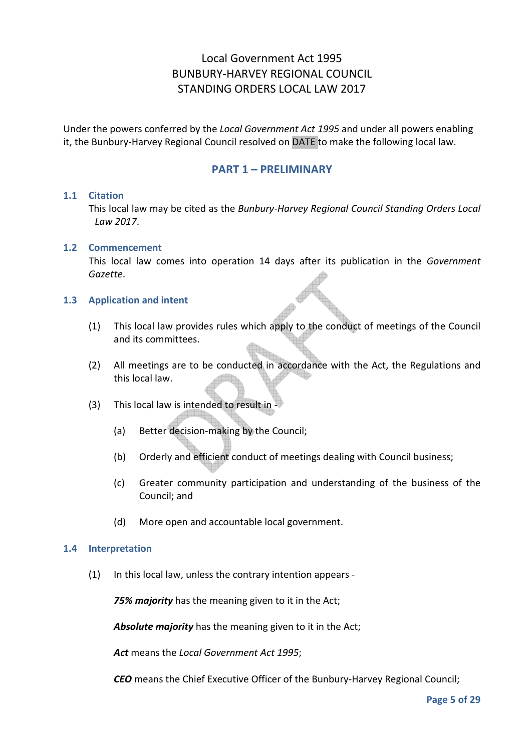# Local Government Act 1995 BUNBURY-HARVEY REGIONAL COUNCIL STANDING ORDERS LOCAL LAW 2017

Under the powers conferred by the *Local Government Act 1995* and under all powers enabling it, the Bunbury-Harvey Regional Council resolved on DATE to make the following local law.

# **PART 1 – PRELIMINARY**

#### **1.1 Citation**

This local law may be cited as the *Bunbury-Harvey Regional Council Standing Orders Local Law 2017*.

#### **1.2 Commencement**

This local law comes into operation 14 days after its publication in the *Government Gazette*.

#### **1.3 Application and intent**

- (1) This local law provides rules which apply to the conduct of meetings of the Council and its committees.
- (2) All meetings are to be conducted in accordance with the Act, the Regulations and this local law.
- (3) This local law is intended to result in
	- (a) Better decision-making by the Council;
	- (b) Orderly and efficient conduct of meetings dealing with Council business;
	- (c) Greater community participation and understanding of the business of the Council; and
	- (d) More open and accountable local government.

#### **1.4 Interpretation**

(1) In this local law, unless the contrary intention appears -

*75% majority* has the meaning given to it in the Act;

*Absolute majority* has the meaning given to it in the Act;

*Act* means the *Local Government Act 1995*;

*CEO* means the Chief Executive Officer of the Bunbury-Harvey Regional Council;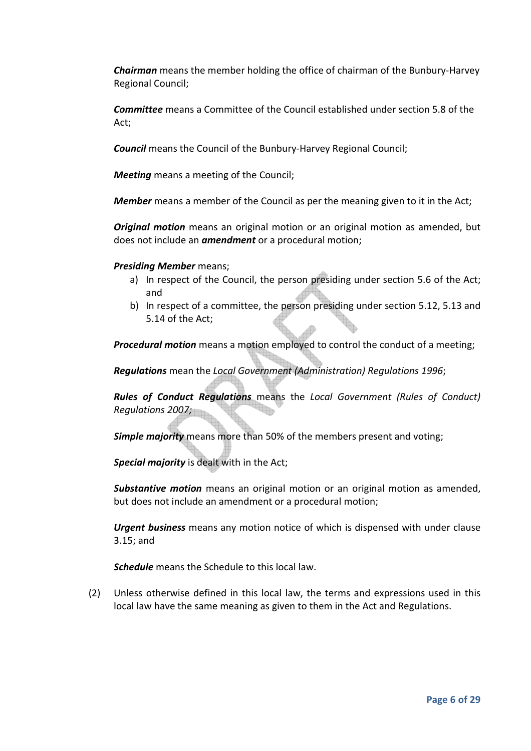*Chairman* means the member holding the office of chairman of the Bunbury-Harvey Regional Council;

*Committee* means a Committee of the Council established under section 5.8 of the Act;

*Council* means the Council of the Bunbury-Harvey Regional Council;

*Meeting* means a meeting of the Council;

*Member* means a member of the Council as per the meaning given to it in the Act;

*Original motion* means an original motion or an original motion as amended, but does not include an *amendment* or a procedural motion;

*Presiding Member* means;

- a) In respect of the Council, the person presiding under section 5.6 of the Act; and
- b) In respect of a committee, the person presiding under section 5.12, 5.13 and 5.14 of the Act;

*Procedural motion* means a motion employed to control the conduct of a meeting;

*Regulations* mean the *Local Government (Administration) Regulations 1996*;

*Rules of Conduct Regulations* means the *Local Government (Rules of Conduct) Regulations 2007;* 

*Simple majority* means more than 50% of the members present and voting;

*Special majority* is dealt with in the Act;

*Substantive motion* means an original motion or an original motion as amended, but does not include an amendment or a procedural motion;

*Urgent business* means any motion notice of which is dispensed with under clause 3.15; and

*Schedule* means the Schedule to this local law.

(2) Unless otherwise defined in this local law, the terms and expressions used in this local law have the same meaning as given to them in the Act and Regulations.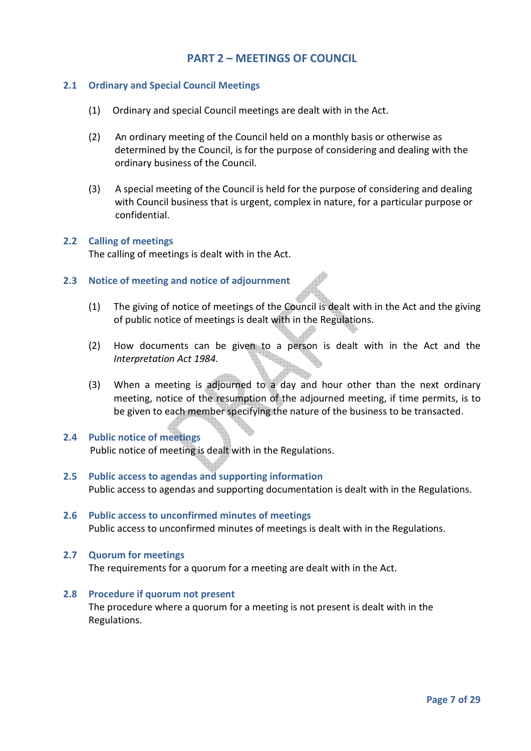# **PART 2 – MEETINGS OF COUNCIL**

# **2.1 Ordinary and Special Council Meetings**

- (1) Ordinary and special Council meetings are dealt with in the Act.
- (2) An ordinary meeting of the Council held on a monthly basis or otherwise as determined by the Council, is for the purpose of considering and dealing with the ordinary business of the Council.
- (3) A special meeting of the Council is held for the purpose of considering and dealing with Council business that is urgent, complex in nature, for a particular purpose or confidential.

#### **2.2 Calling of meetings**

The calling of meetings is dealt with in the Act.

# **2.3 Notice of meeting and notice of adjournment**

- (1) The giving of notice of meetings of the Council is dealt with in the Act and the giving of public notice of meetings is dealt with in the Regulations.
- (2) How documents can be given to a person is dealt with in the Act and the *Interpretation Act 1984.*
- (3) When a meeting is adjourned to a day and hour other than the next ordinary meeting, notice of the resumption of the adjourned meeting, if time permits, is to be given to each member specifying the nature of the business to be transacted.

# **2.4 Public notice of meetings**

Public notice of meeting is dealt with in the Regulations.

- **2.5 Public access to agendas and supporting information**  Public access to agendas and supporting documentation is dealt with in the Regulations.
- **2.6 Public access to unconfirmed minutes of meetings**  Public access to unconfirmed minutes of meetings is dealt with in the Regulations.

# **2.7 Quorum for meetings**  The requirements for a quorum for a meeting are dealt with in the Act.

#### **2.8 Procedure if quorum not present**

The procedure where a quorum for a meeting is not present is dealt with in the Regulations.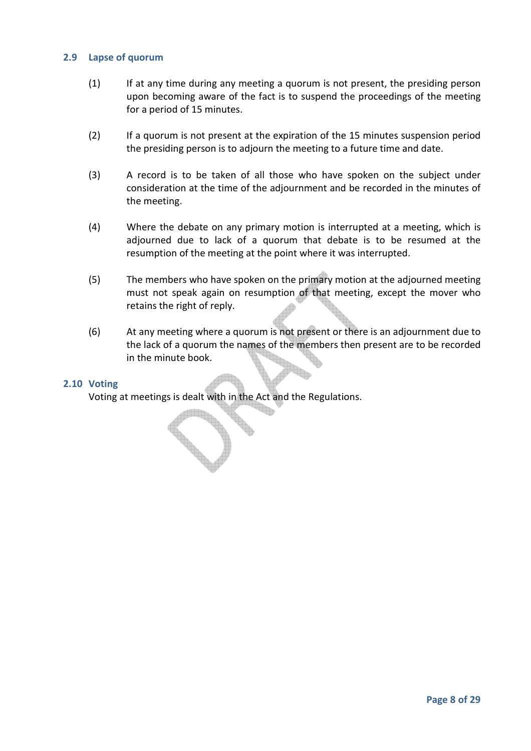## **2.9 Lapse of quorum**

- (1) If at any time during any meeting a quorum is not present, the presiding person upon becoming aware of the fact is to suspend the proceedings of the meeting for a period of 15 minutes.
- (2) If a quorum is not present at the expiration of the 15 minutes suspension period the presiding person is to adjourn the meeting to a future time and date.
- (3) A record is to be taken of all those who have spoken on the subject under consideration at the time of the adjournment and be recorded in the minutes of the meeting.
- (4) Where the debate on any primary motion is interrupted at a meeting, which is adjourned due to lack of a quorum that debate is to be resumed at the resumption of the meeting at the point where it was interrupted.
- (5) The members who have spoken on the primary motion at the adjourned meeting must not speak again on resumption of that meeting, except the mover who retains the right of reply.
- (6) At any meeting where a quorum is not present or there is an adjournment due to the lack of a quorum the names of the members then present are to be recorded in the minute book.

#### **2.10 Voting**

Voting at meetings is dealt with in the Act and the Regulations.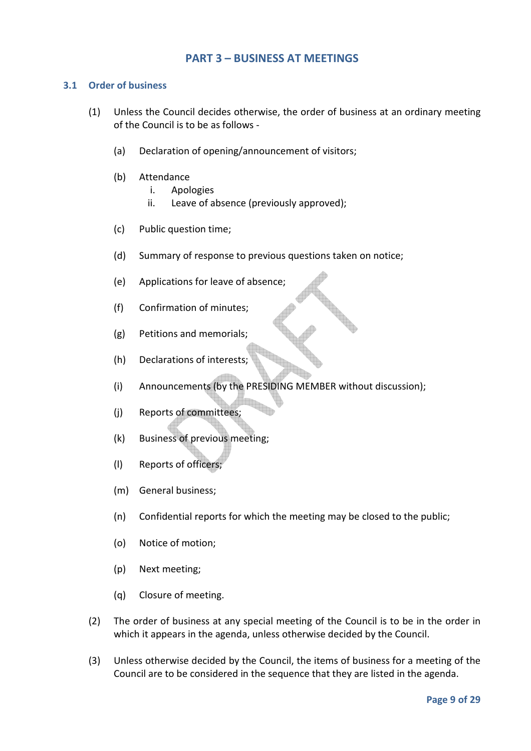# **PART 3 – BUSINESS AT MEETINGS**

## **3.1 Order of business**

- (1) Unless the Council decides otherwise, the order of business at an ordinary meeting of the Council is to be as follows -
	- (a) Declaration of opening/announcement of visitors;
	- (b) Attendance
		- i. Apologies
		- ii. Leave of absence (previously approved);
	- (c) Public question time;
	- (d) Summary of response to previous questions taken on notice;
	- (e) Applications for leave of absence;
	- (f) Confirmation of minutes;
	- (g) Petitions and memorials;
	- (h) Declarations of interests;
	- (i) Announcements (by the PRESIDING MEMBER without discussion);
	- (j) Reports of committees;
	- (k) Business of previous meeting;
	- (l) Reports of officers;
	- (m) General business;
	- (n) Confidential reports for which the meeting may be closed to the public;
	- (o) Notice of motion;
	- (p) Next meeting;
	- (q) Closure of meeting.
- (2) The order of business at any special meeting of the Council is to be in the order in which it appears in the agenda, unless otherwise decided by the Council.
- (3) Unless otherwise decided by the Council, the items of business for a meeting of the Council are to be considered in the sequence that they are listed in the agenda.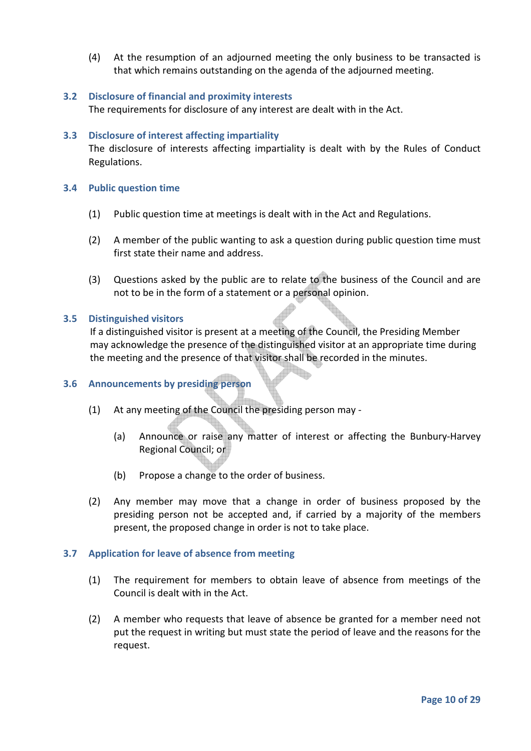(4) At the resumption of an adjourned meeting the only business to be transacted is that which remains outstanding on the agenda of the adjourned meeting.

## **3.2 Disclosure of financial and proximity interests**

The requirements for disclosure of any interest are dealt with in the Act.

#### **3.3 Disclosure of interest affecting impartiality**

The disclosure of interests affecting impartiality is dealt with by the Rules of Conduct Regulations.

#### **3.4 Public question time**

- (1) Public question time at meetings is dealt with in the Act and Regulations.
- (2) A member of the public wanting to ask a question during public question time must first state their name and address.
- (3) Questions asked by the public are to relate to the business of the Council and are not to be in the form of a statement or a personal opinion.

#### **3.5 Distinguished visitors**

 If a distinguished visitor is present at a meeting of the Council, the Presiding Member may acknowledge the presence of the distinguished visitor at an appropriate time during the meeting and the presence of that visitor shall be recorded in the minutes.

# **3.6 Announcements by presiding person**

- (1) At any meeting of the Council the presiding person may
	- (a) Announce or raise any matter of interest or affecting the Bunbury-Harvey Regional Council; or

 $\Box$ 

- (b) Propose a change to the order of business.
- (2) Any member may move that a change in order of business proposed by the presiding person not be accepted and, if carried by a majority of the members present, the proposed change in order is not to take place.

# **3.7 Application for leave of absence from meeting**

- (1) The requirement for members to obtain leave of absence from meetings of the Council is dealt with in the Act.
- (2) A member who requests that leave of absence be granted for a member need not put the request in writing but must state the period of leave and the reasons for the request.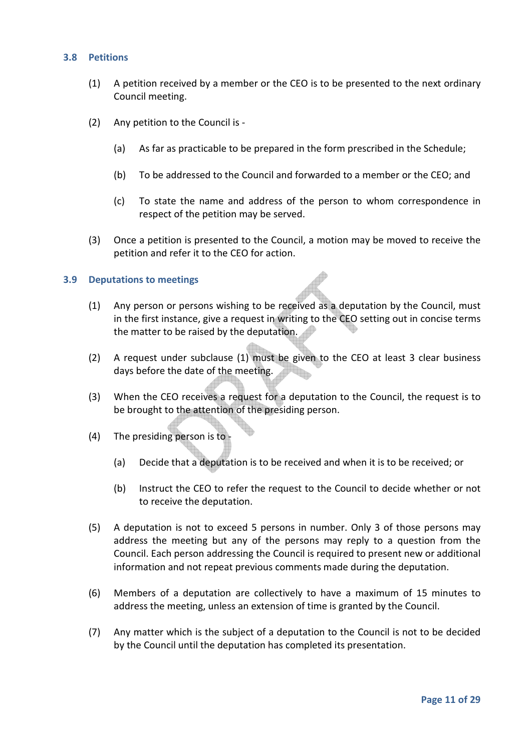# **3.8 Petitions**

- (1) A petition received by a member or the CEO is to be presented to the next ordinary Council meeting.
- (2) Any petition to the Council is
	- (a) As far as practicable to be prepared in the form prescribed in the Schedule;
	- (b) To be addressed to the Council and forwarded to a member or the CEO; and
	- (c) To state the name and address of the person to whom correspondence in respect of the petition may be served.
- (3) Once a petition is presented to the Council, a motion may be moved to receive the petition and refer it to the CEO for action.

#### **3.9 Deputations to meetings**

- (1) Any person or persons wishing to be received as a deputation by the Council, must in the first instance, give a request in writing to the CEO setting out in concise terms the matter to be raised by the deputation.
- (2) A request under subclause (1) must be given to the CEO at least 3 clear business days before the date of the meeting.
- (3) When the CEO receives a request for a deputation to the Council, the request is to be brought to the attention of the presiding person.
- (4) The presiding person is to
	- (a) Decide that a deputation is to be received and when it is to be received; or
	- (b) Instruct the CEO to refer the request to the Council to decide whether or not to receive the deputation.
- (5) A deputation is not to exceed 5 persons in number. Only 3 of those persons may address the meeting but any of the persons may reply to a question from the Council. Each person addressing the Council is required to present new or additional information and not repeat previous comments made during the deputation.
- (6) Members of a deputation are collectively to have a maximum of 15 minutes to address the meeting, unless an extension of time is granted by the Council.
- (7) Any matter which is the subject of a deputation to the Council is not to be decided by the Council until the deputation has completed its presentation.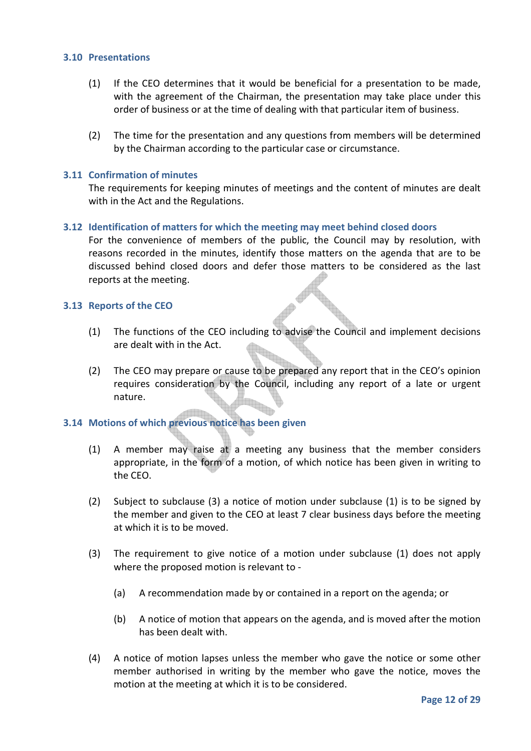## **3.10 Presentations**

- (1) If the CEO determines that it would be beneficial for a presentation to be made, with the agreement of the Chairman, the presentation may take place under this order of business or at the time of dealing with that particular item of business.
- (2) The time for the presentation and any questions from members will be determined by the Chairman according to the particular case or circumstance.

#### **3.11 Confirmation of minutes**

The requirements for keeping minutes of meetings and the content of minutes are dealt with in the Act and the Regulations.

#### **3.12 Identification of matters for which the meeting may meet behind closed doors**

For the convenience of members of the public, the Council may by resolution, with reasons recorded in the minutes, identify those matters on the agenda that are to be discussed behind closed doors and defer those matters to be considered as the last reports at the meeting.

#### **3.13 Reports of the CEO**

- (1) The functions of the CEO including to advise the Council and implement decisions are dealt with in the Act.
- (2) The CEO may prepare or cause to be prepared any report that in the CEO's opinion requires consideration by the Council, including any report of a late or urgent nature.

# **3.14 Motions of which previous notice has been given**

- (1) A member may raise at a meeting any business that the member considers appropriate, in the form of a motion, of which notice has been given in writing to the CEO.
- (2) Subject to subclause (3) a notice of motion under subclause (1) is to be signed by the member and given to the CEO at least 7 clear business days before the meeting at which it is to be moved.
- (3) The requirement to give notice of a motion under subclause (1) does not apply where the proposed motion is relevant to -
	- (a) A recommendation made by or contained in a report on the agenda; or
	- (b) A notice of motion that appears on the agenda, and is moved after the motion has been dealt with.
- (4) A notice of motion lapses unless the member who gave the notice or some other member authorised in writing by the member who gave the notice, moves the motion at the meeting at which it is to be considered.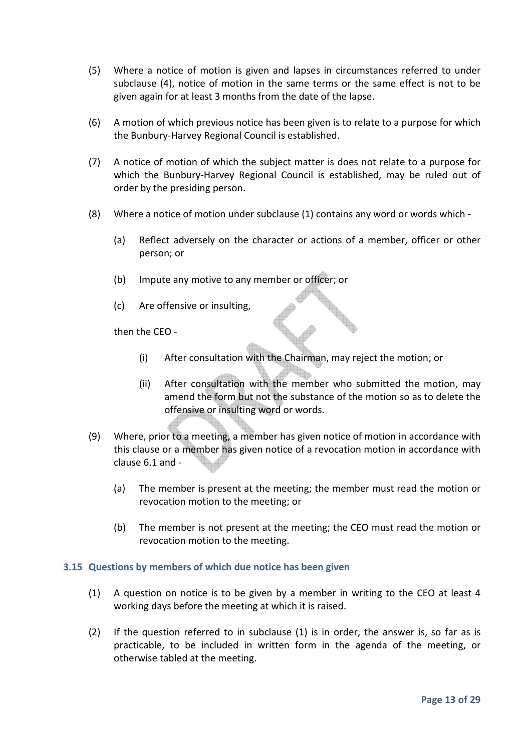- (5) Where a notice of motion is given and lapses in circumstances referred to under subclause (4), notice of motion in the same terms or the same effect is not to be given again for at least 3 months from the date of the lapse.
- (6) A motion of which previous notice has been given is to relate to a purpose for which the Bunbury-Harvey Regional Council is established.
- (7) A notice of motion of which the subject matter is does not relate to a purpose for which the Bunbury-Harvey Regional Council is established, may be ruled out of order by the presiding person.
- (8) Where a notice of motion under subclause (1) contains any word or words which
	- (a) Reflect adversely on the character or actions of a member, officer or other person; or
	- (b) Impute any motive to any member or officer; or
	- (c) Are offensive or insulting,

then the CEO -

- (i) After consultation with the Chairman, may reject the motion; or
- (ii) After consultation with the member who submitted the motion, may amend the form but not the substance of the motion so as to delete the offensive or insulting word or words.
- (9) Where, prior to a meeting, a member has given notice of motion in accordance with this clause or a member has given notice of a revocation motion in accordance with clause 6.1 and -
	- (a) The member is present at the meeting; the member must read the motion or revocation motion to the meeting; or
	- (b) The member is not present at the meeting; the CEO must read the motion or revocation motion to the meeting.

# **3.15 Questions by members of which due notice has been given**

- (1) A question on notice is to be given by a member in writing to the CEO at least 4 working days before the meeting at which it is raised.
- (2) If the question referred to in subclause (1) is in order, the answer is, so far as is practicable, to be included in written form in the agenda of the meeting, or otherwise tabled at the meeting.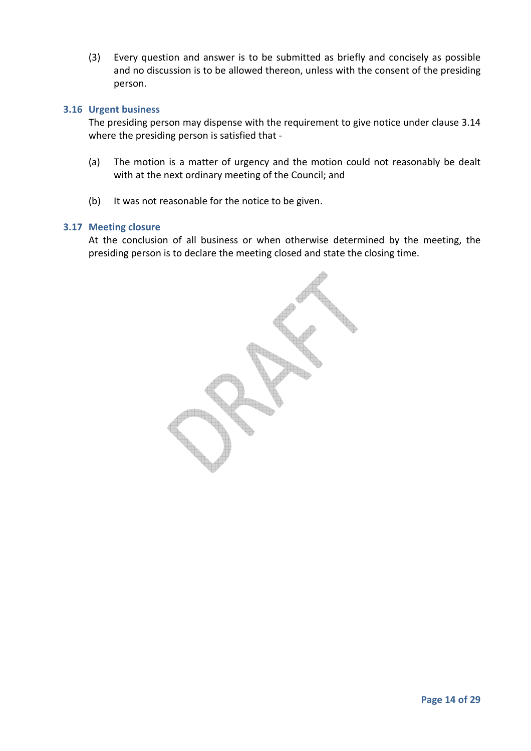(3) Every question and answer is to be submitted as briefly and concisely as possible and no discussion is to be allowed thereon, unless with the consent of the presiding person.

#### **3.16 Urgent business**

The presiding person may dispense with the requirement to give notice under clause 3.14 where the presiding person is satisfied that -

- (a) The motion is a matter of urgency and the motion could not reasonably be dealt with at the next ordinary meeting of the Council; and
- (b) It was not reasonable for the notice to be given.

#### **3.17 Meeting closure**

At the conclusion of all business or when otherwise determined by the meeting, the presiding person is to declare the meeting closed and state the closing time.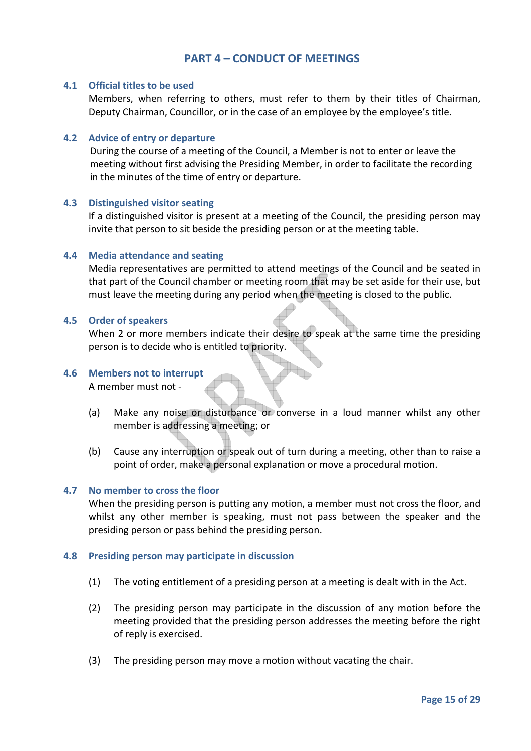# **PART 4 – CONDUCT OF MEETINGS**

#### **4.1 Official titles to be used**

Members, when referring to others, must refer to them by their titles of Chairman, Deputy Chairman, Councillor, or in the case of an employee by the employee's title.

#### **4.2 Advice of entry or departure**

 During the course of a meeting of the Council, a Member is not to enter or leave the meeting without first advising the Presiding Member, in order to facilitate the recording in the minutes of the time of entry or departure.

#### **4.3 Distinguished visitor seating**

If a distinguished visitor is present at a meeting of the Council, the presiding person may invite that person to sit beside the presiding person or at the meeting table.

#### **4.4 Media attendance and seating**

Media representatives are permitted to attend meetings of the Council and be seated in that part of the Council chamber or meeting room that may be set aside for their use, but must leave the meeting during any period when the meeting is closed to the public.

#### **4.5 Order of speakers**

When 2 or more members indicate their desire to speak at the same time the presiding person is to decide who is entitled to priority.

## **4.6 Members not to interrupt**

A member must not -

- (a) Make any noise or disturbance or converse in a loud manner whilst any other member is addressing a meeting; or
- (b) Cause any interruption or speak out of turn during a meeting, other than to raise a point of order, make a personal explanation or move a procedural motion.

#### **4.7 No member to cross the floor**

When the presiding person is putting any motion, a member must not cross the floor, and whilst any other member is speaking, must not pass between the speaker and the presiding person or pass behind the presiding person.

#### **4.8 Presiding person may participate in discussion**

- (1) The voting entitlement of a presiding person at a meeting is dealt with in the Act.
- (2) The presiding person may participate in the discussion of any motion before the meeting provided that the presiding person addresses the meeting before the right of reply is exercised.
- (3) The presiding person may move a motion without vacating the chair.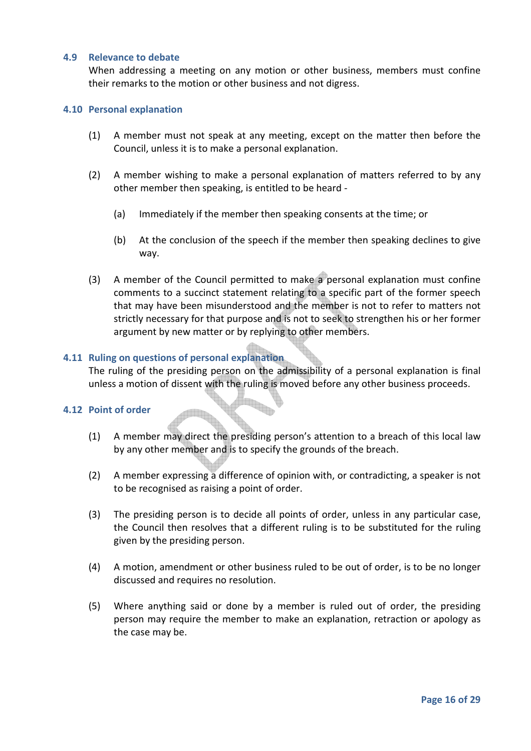#### **4.9 Relevance to debate**

When addressing a meeting on any motion or other business, members must confine their remarks to the motion or other business and not digress.

#### **4.10 Personal explanation**

- (1) A member must not speak at any meeting, except on the matter then before the Council, unless it is to make a personal explanation.
- (2) A member wishing to make a personal explanation of matters referred to by any other member then speaking, is entitled to be heard -
	- (a) Immediately if the member then speaking consents at the time; or
	- (b) At the conclusion of the speech if the member then speaking declines to give way.
- (3) A member of the Council permitted to make a personal explanation must confine comments to a succinct statement relating to a specific part of the former speech that may have been misunderstood and the member is not to refer to matters not strictly necessary for that purpose and is not to seek to strengthen his or her former argument by new matter or by replying to other members.

#### **4.11 Ruling on questions of personal explanation**

The ruling of the presiding person on the admissibility of a personal explanation is final unless a motion of dissent with the ruling is moved before any other business proceeds.

#### **4.12 Point of order**

- (1) A member may direct the presiding person's attention to a breach of this local law by any other member and is to specify the grounds of the breach.
- (2) A member expressing a difference of opinion with, or contradicting, a speaker is not to be recognised as raising a point of order.
- (3) The presiding person is to decide all points of order, unless in any particular case, the Council then resolves that a different ruling is to be substituted for the ruling given by the presiding person.
- (4) A motion, amendment or other business ruled to be out of order, is to be no longer discussed and requires no resolution.
- (5) Where anything said or done by a member is ruled out of order, the presiding person may require the member to make an explanation, retraction or apology as the case may be.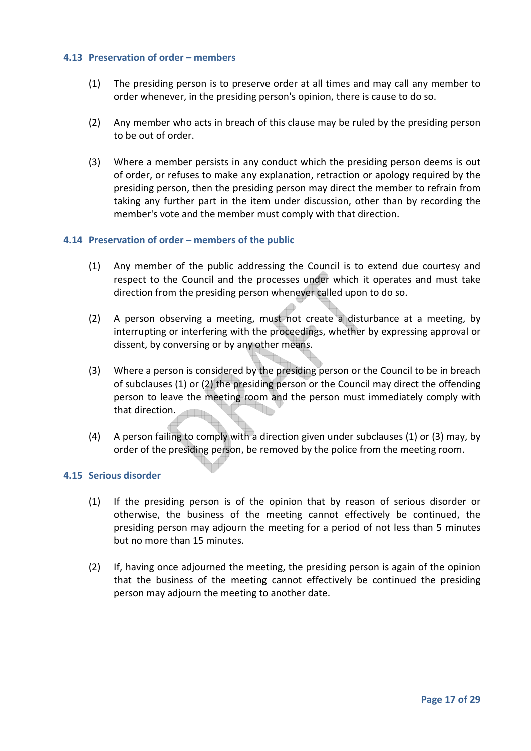## **4.13 Preservation of order – members**

- (1) The presiding person is to preserve order at all times and may call any member to order whenever, in the presiding person's opinion, there is cause to do so.
- (2) Any member who acts in breach of this clause may be ruled by the presiding person to be out of order.
- (3) Where a member persists in any conduct which the presiding person deems is out of order, or refuses to make any explanation, retraction or apology required by the presiding person, then the presiding person may direct the member to refrain from taking any further part in the item under discussion, other than by recording the member's vote and the member must comply with that direction.

#### **4.14 Preservation of order – members of the public**

- (1) Any member of the public addressing the Council is to extend due courtesy and respect to the Council and the processes under which it operates and must take direction from the presiding person whenever called upon to do so.
- (2) A person observing a meeting, must not create a disturbance at a meeting, by interrupting or interfering with the proceedings, whether by expressing approval or dissent, by conversing or by any other means.
- (3) Where a person is considered by the presiding person or the Council to be in breach of subclauses (1) or (2) the presiding person or the Council may direct the offending person to leave the meeting room and the person must immediately comply with that direction.
- (4) A person failing to comply with a direction given under subclauses (1) or (3) may, by order of the presiding person, be removed by the police from the meeting room.

# **4.15 Serious disorder**

- (1) If the presiding person is of the opinion that by reason of serious disorder or otherwise, the business of the meeting cannot effectively be continued, the presiding person may adjourn the meeting for a period of not less than 5 minutes but no more than 15 minutes.
- (2) If, having once adjourned the meeting, the presiding person is again of the opinion that the business of the meeting cannot effectively be continued the presiding person may adjourn the meeting to another date.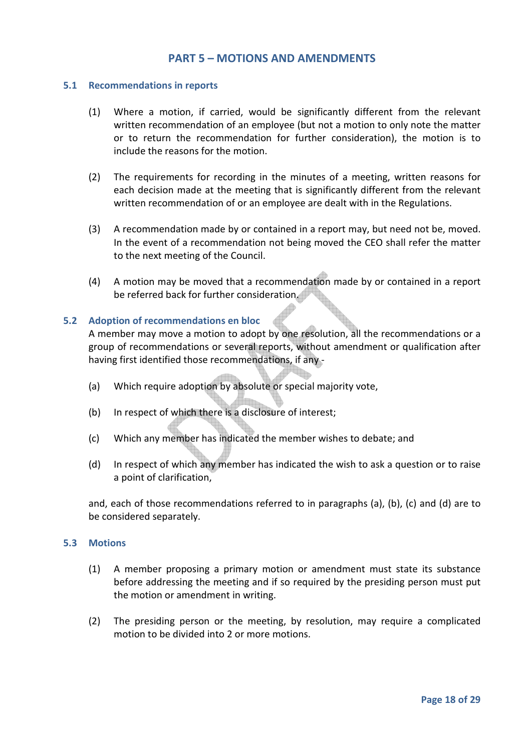# **PART 5 – MOTIONS AND AMENDMENTS**

#### **5.1 Recommendations in reports**

- (1) Where a motion, if carried, would be significantly different from the relevant written recommendation of an employee (but not a motion to only note the matter or to return the recommendation for further consideration), the motion is to include the reasons for the motion.
- (2) The requirements for recording in the minutes of a meeting, written reasons for each decision made at the meeting that is significantly different from the relevant written recommendation of or an employee are dealt with in the Regulations.
- (3) A recommendation made by or contained in a report may, but need not be, moved. In the event of a recommendation not being moved the CEO shall refer the matter to the next meeting of the Council.
- (4) A motion may be moved that a recommendation made by or contained in a report be referred back for further consideration.

# **5.2 Adoption of recommendations en bloc**

A member may move a motion to adopt by one resolution, all the recommendations or a group of recommendations or several reports, without amendment or qualification after having first identified those recommendations, if any -

- (a) Which require adoption by absolute or special majority vote,
- (b) In respect of which there is a disclosure of interest;
- (c) Which any member has indicated the member wishes to debate; and
- (d) In respect of which any member has indicated the wish to ask a question or to raise a point of clarification,

and, each of those recommendations referred to in paragraphs (a), (b), (c) and (d) are to be considered separately.

#### **5.3 Motions**

- (1) A member proposing a primary motion or amendment must state its substance before addressing the meeting and if so required by the presiding person must put the motion or amendment in writing.
- (2) The presiding person or the meeting, by resolution, may require a complicated motion to be divided into 2 or more motions.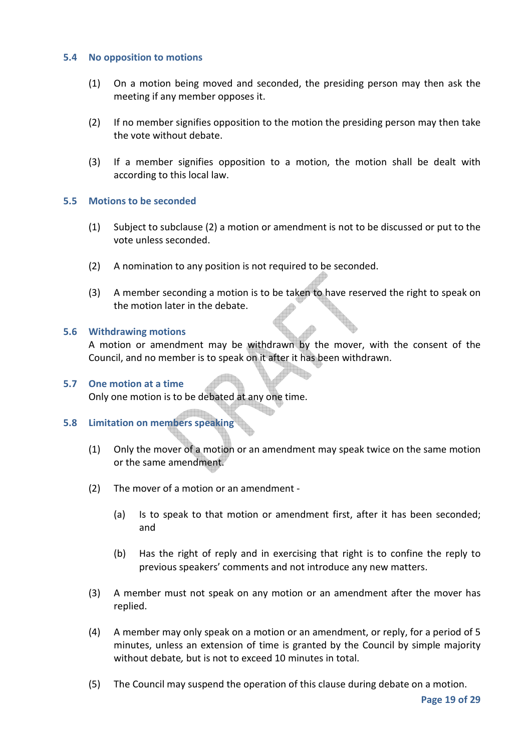#### **5.4 No opposition to motions**

- (1) On a motion being moved and seconded, the presiding person may then ask the meeting if any member opposes it.
- (2) If no member signifies opposition to the motion the presiding person may then take the vote without debate.
- (3) If a member signifies opposition to a motion, the motion shall be dealt with according to this local law.

#### **5.5 Motions to be seconded**

- (1) Subject to subclause (2) a motion or amendment is not to be discussed or put to the vote unless seconded.
- (2) A nomination to any position is not required to be seconded.
- (3) A member seconding a motion is to be taken to have reserved the right to speak on the motion later in the debate.

#### **5.6 Withdrawing motions**

A motion or amendment may be withdrawn by the mover, with the consent of the Council, and no member is to speak on it after it has been withdrawn.

# **5.7 One motion at a time**

Only one motion is to be debated at any one time.

# **5.8 Limitation on members speaking**

- (1) Only the mover of a motion or an amendment may speak twice on the same motion or the same amendment.
- (2) The mover of a motion or an amendment
	- (a) Is to speak to that motion or amendment first, after it has been seconded; and
	- (b) Has the right of reply and in exercising that right is to confine the reply to previous speakers' comments and not introduce any new matters.
- (3) A member must not speak on any motion or an amendment after the mover has replied.
- (4) A member may only speak on a motion or an amendment, or reply, for a period of 5 minutes, unless an extension of time is granted by the Council by simple majority without debate*,* but is not to exceed 10 minutes in total.
- (5) The Council may suspend the operation of this clause during debate on a motion.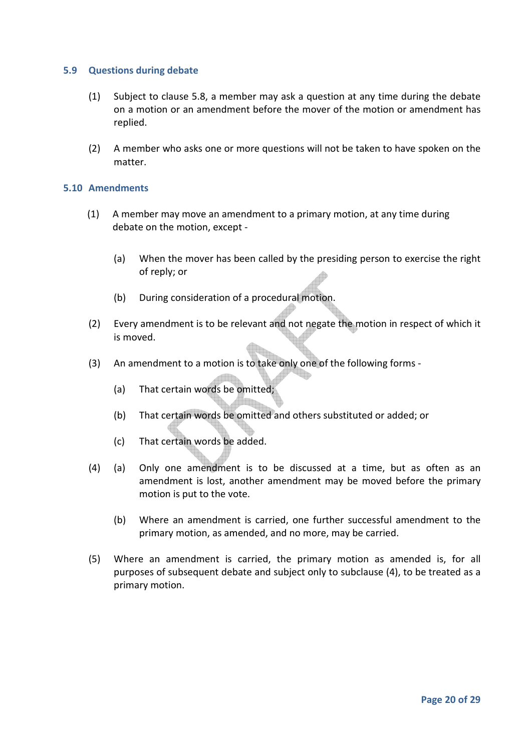#### **5.9 Questions during debate**

- (1) Subject to clause 5.8, a member may ask a question at any time during the debate on a motion or an amendment before the mover of the motion or amendment has replied.
- (2) A member who asks one or more questions will not be taken to have spoken on the matter.

#### **5.10 Amendments**

- (1) A member may move an amendment to a primary motion, at any time during debate on the motion, except -
	- (a) When the mover has been called by the presiding person to exercise the right of reply; or
	- (b) During consideration of a procedural motion.
- (2) Every amendment is to be relevant and not negate the motion in respect of which it is moved.
- (3) An amendment to a motion is to take only one of the following forms
	- (a) That certain words be omitted;
	- (b) That certain words be omitted and others substituted or added; or
	- (c) That certain words be added.
- (4) (a) Only one amendment is to be discussed at a time, but as often as an amendment is lost, another amendment may be moved before the primary motion is put to the vote.
	- (b) Where an amendment is carried, one further successful amendment to the primary motion, as amended, and no more, may be carried.
- (5) Where an amendment is carried, the primary motion as amended is, for all purposes of subsequent debate and subject only to subclause (4), to be treated as a primary motion.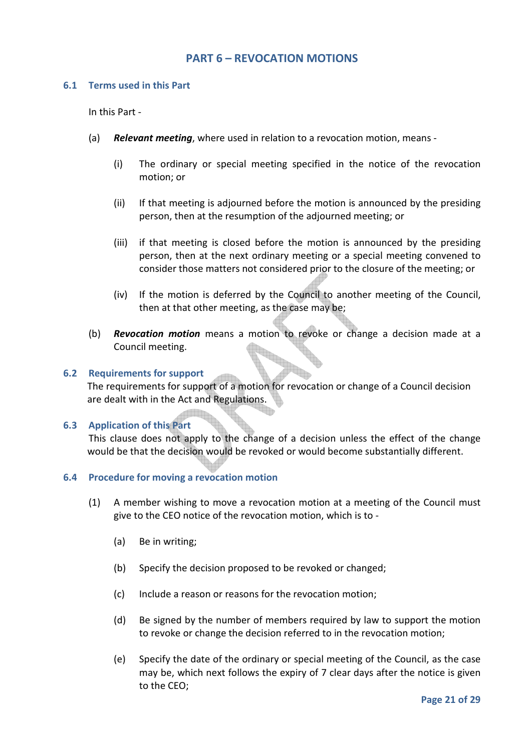# **PART 6 – REVOCATION MOTIONS**

#### **6.1 Terms used in this Part**

In this Part -

- (a) *Relevant meeting*, where used in relation to a revocation motion, means
	- (i) The ordinary or special meeting specified in the notice of the revocation motion; or
	- (ii) If that meeting is adjourned before the motion is announced by the presiding person, then at the resumption of the adjourned meeting; or
	- (iii) if that meeting is closed before the motion is announced by the presiding person, then at the next ordinary meeting or a special meeting convened to consider those matters not considered prior to the closure of the meeting; or
	- (iv) If the motion is deferred by the Council to another meeting of the Council, then at that other meeting, as the case may be;
- (b) *Revocation motion* means a motion to revoke or change a decision made at a Council meeting.

#### **6.2 Requirements for support**

The requirements for support of a motion for revocation or change of a Council decision are dealt with in the Act and Regulations.

#### **6.3 Application of this Part**

This clause does not apply to the change of a decision unless the effect of the change would be that the decision would be revoked or would become substantially different.

#### **6.4 Procedure for moving a revocation motion**

- (1) A member wishing to move a revocation motion at a meeting of the Council must give to the CEO notice of the revocation motion, which is to -
	- (a) Be in writing;
	- (b) Specify the decision proposed to be revoked or changed;
	- (c) Include a reason or reasons for the revocation motion;
	- (d) Be signed by the number of members required by law to support the motion to revoke or change the decision referred to in the revocation motion;
	- (e) Specify the date of the ordinary or special meeting of the Council, as the case may be, which next follows the expiry of 7 clear days after the notice is given to the CEO;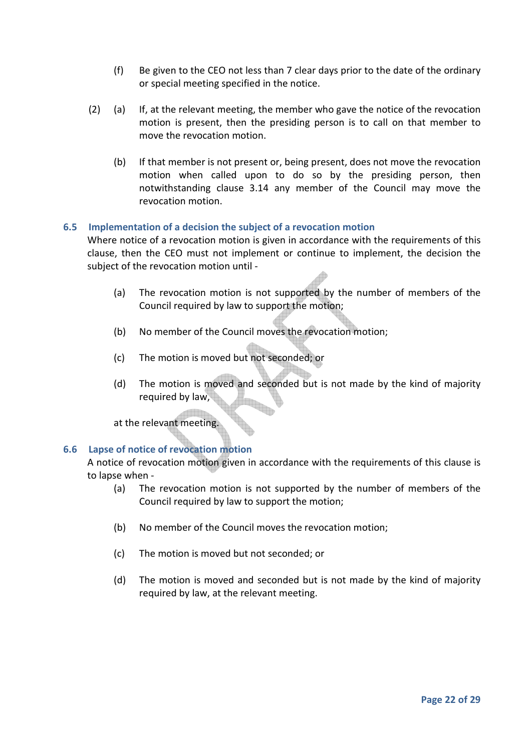- (f) Be given to the CEO not less than 7 clear days prior to the date of the ordinary or special meeting specified in the notice.
- (2) (a) If, at the relevant meeting, the member who gave the notice of the revocation motion is present, then the presiding person is to call on that member to move the revocation motion.
	- (b) If that member is not present or, being present, does not move the revocation motion when called upon to do so by the presiding person, then notwithstanding clause 3.14 any member of the Council may move the revocation motion.

# **6.5 Implementation of a decision the subject of a revocation motion**

Where notice of a revocation motion is given in accordance with the requirements of this clause, then the CEO must not implement or continue to implement, the decision the subject of the revocation motion until -

- (a) The revocation motion is not supported by the number of members of the Council required by law to support the motion;
- (b) No member of the Council moves the revocation motion;
- (c) The motion is moved but not seconded; or
- (d) The motion is moved and seconded but is not made by the kind of majority required by law,

at the relevant meeting.

# **6.6 Lapse of notice of revocation motion**

A notice of revocation motion given in accordance with the requirements of this clause is to lapse when -

- (a) The revocation motion is not supported by the number of members of the Council required by law to support the motion;
- (b) No member of the Council moves the revocation motion;
- (c) The motion is moved but not seconded; or
- (d) The motion is moved and seconded but is not made by the kind of majority required by law, at the relevant meeting.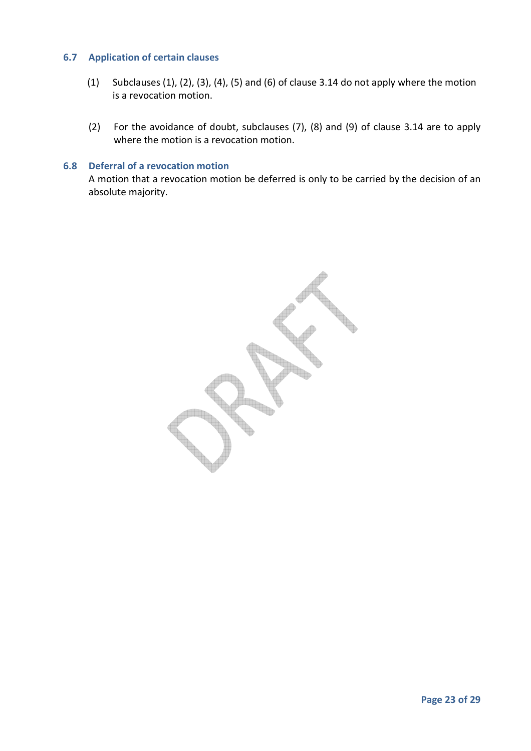# **6.7 Application of certain clauses**

- (1) Subclauses  $(1)$ ,  $(2)$ ,  $(3)$ ,  $(4)$ ,  $(5)$  and  $(6)$  of clause 3.14 do not apply where the motion is a revocation motion.
- (2) For the avoidance of doubt, subclauses (7), (8) and (9) of clause 3.14 are to apply where the motion is a revocation motion.

#### **6.8 Deferral of a revocation motion**

A motion that a revocation motion be deferred is only to be carried by the decision of an absolute majority.

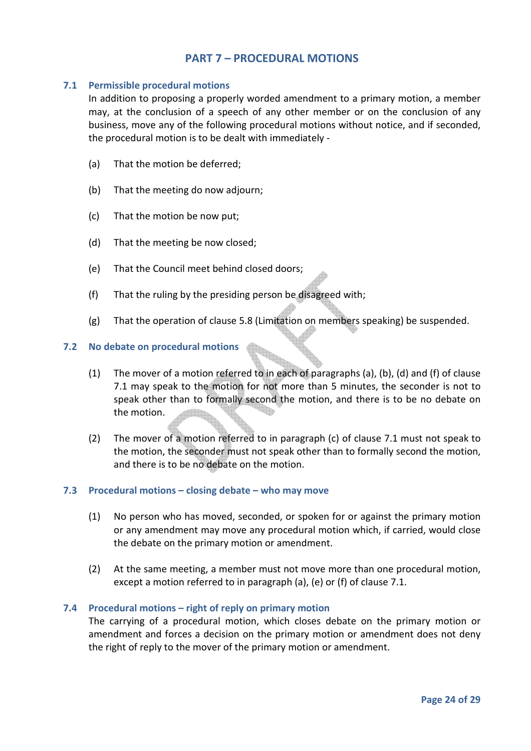# **PART 7 – PROCEDURAL MOTIONS**

# **7.1 Permissible procedural motions**

In addition to proposing a properly worded amendment to a primary motion, a member may, at the conclusion of a speech of any other member or on the conclusion of any business, move any of the following procedural motions without notice, and if seconded, the procedural motion is to be dealt with immediately -

- (a) That the motion be deferred;
- (b) That the meeting do now adjourn;
- (c) That the motion be now put;
- (d) That the meeting be now closed;
- (e) That the Council meet behind closed doors;
- (f) That the ruling by the presiding person be disagreed with;
- (g) That the operation of clause 5.8 (Limitation on members speaking) be suspended.

# **7.2 No debate on procedural motions**

- (1) The mover of a motion referred to in each of paragraphs (a), (b), (d) and (f) of clause 7.1 may speak to the motion for not more than 5 minutes, the seconder is not to speak other than to formally second the motion, and there is to be no debate on the motion.
- (2) The mover of a motion referred to in paragraph (c) of clause 7.1 must not speak to the motion, the seconder must not speak other than to formally second the motion, and there is to be no debate on the motion.

# **7.3 Procedural motions – closing debate – who may move**

- (1) No person who has moved, seconded, or spoken for or against the primary motion or any amendment may move any procedural motion which, if carried, would close the debate on the primary motion or amendment.
- (2) At the same meeting, a member must not move more than one procedural motion, except a motion referred to in paragraph (a), (e) or (f) of clause 7.1.

# **7.4 Procedural motions – right of reply on primary motion**

The carrying of a procedural motion, which closes debate on the primary motion or amendment and forces a decision on the primary motion or amendment does not deny the right of reply to the mover of the primary motion or amendment.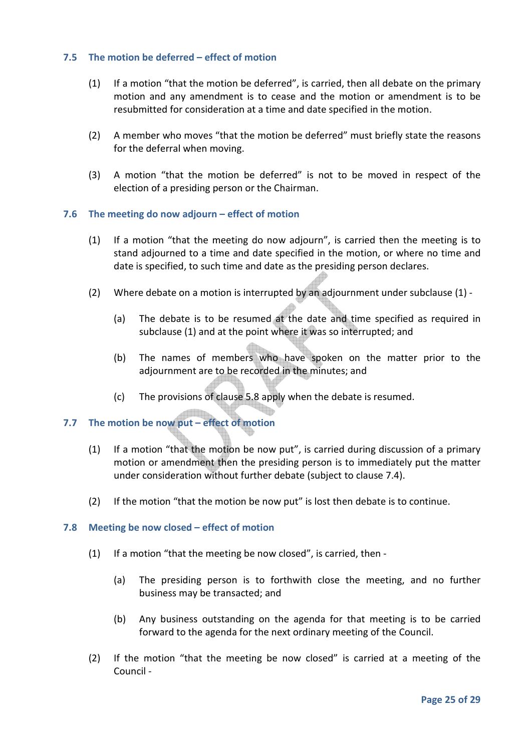# **7.5 The motion be deferred – effect of motion**

- (1) If a motion "that the motion be deferred", is carried, then all debate on the primary motion and any amendment is to cease and the motion or amendment is to be resubmitted for consideration at a time and date specified in the motion.
- (2) A member who moves "that the motion be deferred" must briefly state the reasons for the deferral when moving.
- (3) A motion "that the motion be deferred" is not to be moved in respect of the election of a presiding person or the Chairman.

# **7.6 The meeting do now adjourn – effect of motion**

- (1) If a motion "that the meeting do now adjourn", is carried then the meeting is to stand adjourned to a time and date specified in the motion, or where no time and date is specified, to such time and date as the presiding person declares.
- (2) Where debate on a motion is interrupted by an adjournment under subclause (1)
	- (a) The debate is to be resumed at the date and time specified as required in subclause (1) and at the point where it was so interrupted; and
	- (b) The names of members who have spoken on the matter prior to the adjournment are to be recorded in the minutes; and
	- (c) The provisions of clause 5.8 apply when the debate is resumed.

# **7.7 The motion be now put – effect of motion**

- (1) If a motion "that the motion be now put", is carried during discussion of a primary motion or amendment then the presiding person is to immediately put the matter under consideration without further debate (subject to clause 7.4).
- (2) If the motion "that the motion be now put" is lost then debate is to continue.

# **7.8 Meeting be now closed – effect of motion**

- (1) If a motion "that the meeting be now closed", is carried, then
	- (a) The presiding person is to forthwith close the meeting, and no further business may be transacted; and
	- (b) Any business outstanding on the agenda for that meeting is to be carried forward to the agenda for the next ordinary meeting of the Council.
- (2) If the motion "that the meeting be now closed" is carried at a meeting of the Council -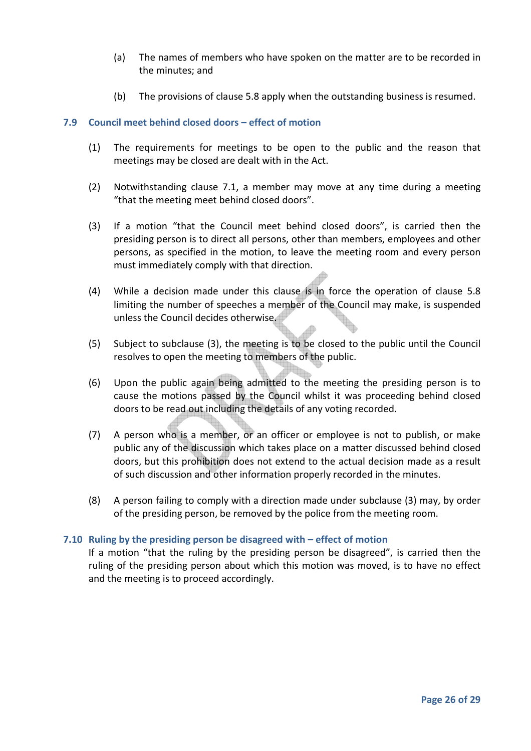- (a) The names of members who have spoken on the matter are to be recorded in the minutes; and
- (b) The provisions of clause 5.8 apply when the outstanding business is resumed.

# **7.9 Council meet behind closed doors – effect of motion**

- (1) The requirements for meetings to be open to the public and the reason that meetings may be closed are dealt with in the Act.
- (2) Notwithstanding clause 7.1, a member may move at any time during a meeting "that the meeting meet behind closed doors".
- (3) If a motion "that the Council meet behind closed doors", is carried then the presiding person is to direct all persons, other than members, employees and other persons, as specified in the motion, to leave the meeting room and every person must immediately comply with that direction.
- (4) While a decision made under this clause is in force the operation of clause 5.8 limiting the number of speeches a member of the Council may make, is suspended unless the Council decides otherwise.
- (5) Subject to subclause (3), the meeting is to be closed to the public until the Council resolves to open the meeting to members of the public.
- (6) Upon the public again being admitted to the meeting the presiding person is to cause the motions passed by the Council whilst it was proceeding behind closed doors to be read out including the details of any voting recorded.
- (7) A person who is a member, or an officer or employee is not to publish, or make public any of the discussion which takes place on a matter discussed behind closed doors, but this prohibition does not extend to the actual decision made as a result of such discussion and other information properly recorded in the minutes.
- (8) A person failing to comply with a direction made under subclause (3) may, by order of the presiding person, be removed by the police from the meeting room.

# **7.10 Ruling by the presiding person be disagreed with – effect of motion**

If a motion "that the ruling by the presiding person be disagreed", is carried then the ruling of the presiding person about which this motion was moved, is to have no effect and the meeting is to proceed accordingly.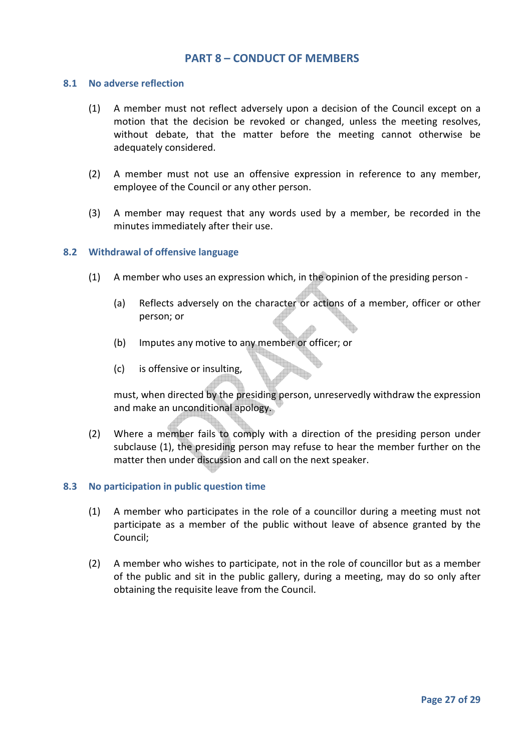# **PART 8 – CONDUCT OF MEMBERS**

#### **8.1 No adverse reflection**

- (1) A member must not reflect adversely upon a decision of the Council except on a motion that the decision be revoked or changed, unless the meeting resolves, without debate, that the matter before the meeting cannot otherwise be adequately considered.
- (2) A member must not use an offensive expression in reference to any member, employee of the Council or any other person.
- (3) A member may request that any words used by a member, be recorded in the minutes immediately after their use.

#### **8.2 Withdrawal of offensive language**

- (1) A member who uses an expression which, in the opinion of the presiding person
	- (a) Reflects adversely on the character or actions of a member, officer or other person; or
	- (b) Imputes any motive to any member or officer; or
	- (c) is offensive or insulting,

must, when directed by the presiding person, unreservedly withdraw the expression and make an unconditional apology.

(2) Where a member fails to comply with a direction of the presiding person under subclause (1), the presiding person may refuse to hear the member further on the matter then under discussion and call on the next speaker.

#### **8.3 No participation in public question time**

- (1) A member who participates in the role of a councillor during a meeting must not participate as a member of the public without leave of absence granted by the Council;
- (2) A member who wishes to participate, not in the role of councillor but as a member of the public and sit in the public gallery, during a meeting, may do so only after obtaining the requisite leave from the Council.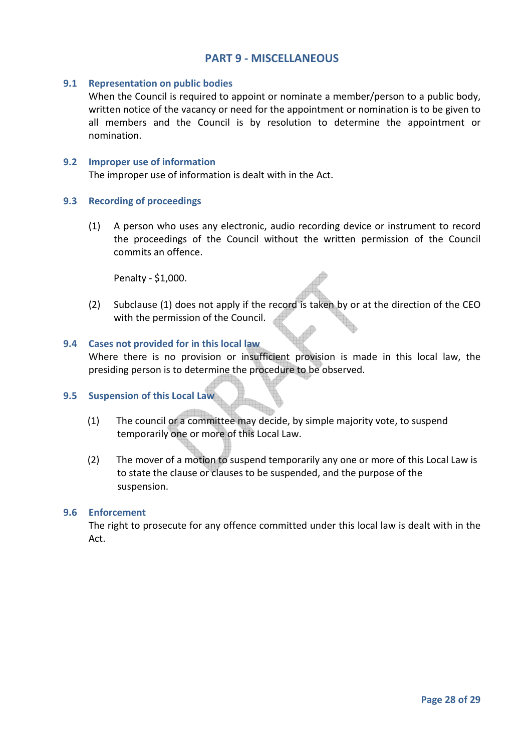# **PART 9 - MISCELLANEOUS**

# **9.1 Representation on public bodies**

When the Council is required to appoint or nominate a member/person to a public body, written notice of the vacancy or need for the appointment or nomination is to be given to all members and the Council is by resolution to determine the appointment or nomination.

## **9.2 Improper use of information**

The improper use of information is dealt with in the Act.

# **9.3 Recording of proceedings**

(1) A person who uses any electronic, audio recording device or instrument to record the proceedings of the Council without the written permission of the Council commits an offence.

Penalty - \$1,000.

(2) Subclause (1) does not apply if the record is taken by or at the direction of the CEO with the permission of the Council.

# **9.4 Cases not provided for in this local law**

Where there is no provision or insufficient provision is made in this local law, the presiding person is to determine the procedure to be observed.

# **9.5 Suspension of this Local Law**

- (1) The council or a committee may decide, by simple majority vote, to suspend temporarily one or more of this Local Law.
- (2) The mover of a motion to suspend temporarily any one or more of this Local Law is to state the clause or clauses to be suspended, and the purpose of the suspension.

#### **9.6 Enforcement**

The right to prosecute for any offence committed under this local law is dealt with in the Act.